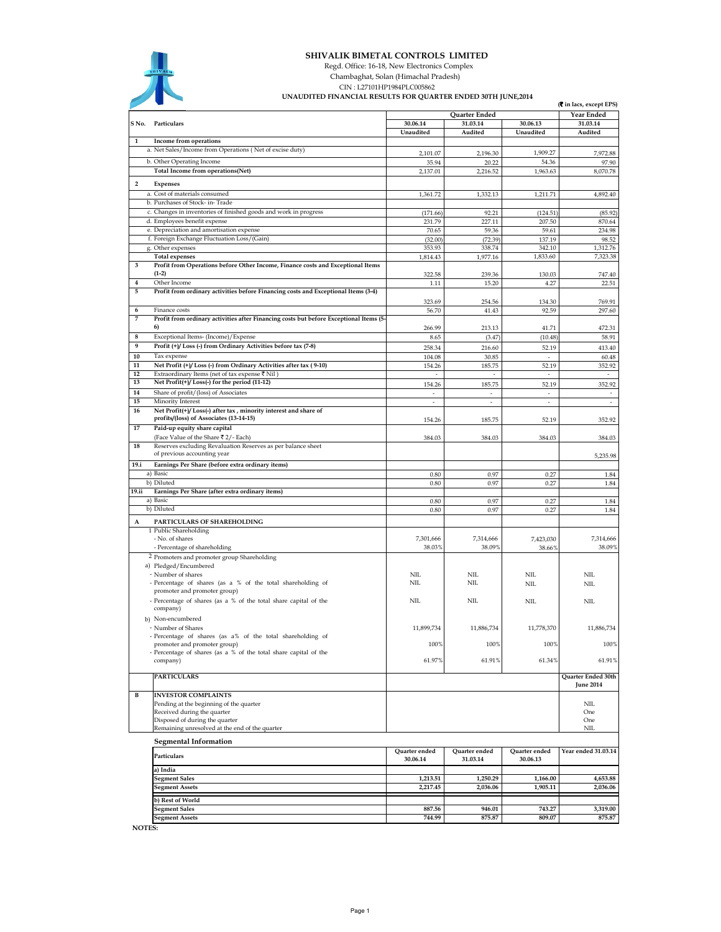

## SHIVALIK BIMETAL CONTROLS LIMITED

Regd. Office: 16-18, New Electronics Complex

Chambaghat, Solan (Himachal Pradesh)

CIN : L27101HP1984PLC005862 UNAUDITED FINANCIAL RESULTS FOR QUARTER ENDED 30TH JUNE,2014

|                         | UNAUDITED TINANCIAE REJULIJ FOR QUARTER ENDED J0111 JUNE/2014<br>(₹ in lacs, except EPS)                |                           |                           |                           |                                        |
|-------------------------|---------------------------------------------------------------------------------------------------------|---------------------------|---------------------------|---------------------------|----------------------------------------|
|                         |                                                                                                         |                           | Quarter Ended             |                           | Year Ended                             |
| S No.                   | Particulars                                                                                             | 30.06.14                  | 31.03.14                  | 30.06.13                  | 31.03.14                               |
| 1                       | Income from operations                                                                                  | Unaudited                 | Audited                   | Unaudited                 | Audited                                |
|                         | a. Net Sales/Income from Operations (Net of excise duty)                                                |                           |                           |                           |                                        |
|                         | b. Other Operating Income                                                                               | 2,101.07<br>35.94         | 2,196.30<br>20.22         | 1,909.27<br>54.36         | 7,972.88<br>97.90                      |
|                         | Total Income from operations(Net)                                                                       | 2,137.01                  | 2,216.52                  | 1,963.63                  | 8,070.78                               |
| $\overline{\mathbf{2}}$ | Expenses                                                                                                |                           |                           |                           |                                        |
|                         | a. Cost of materials consumed                                                                           | 1,361.72                  | 1,332.13                  | 1,211.71                  | 4,892.40                               |
|                         | b. Purchases of Stock- in-Trade                                                                         |                           |                           |                           |                                        |
|                         | c. Changes in inventories of finished goods and work in progress                                        | (171.66)                  | 92.21                     | (124.51)                  | (85.92)                                |
|                         | d. Employees benefit expense                                                                            | 231.79                    | 227.11                    | 207.50                    | 870.64                                 |
|                         | e. Depreciation and amortisation expense                                                                | 70.65                     | 59.36                     | 59.61                     | 234.98                                 |
|                         | f. Foreign Exchange Fluctuation Loss/(Gain)                                                             | (32.00)                   | (72.39)                   | 137.19                    | 98.52                                  |
|                         | g. Other expenses<br><b>Total expenses</b>                                                              | 353.93<br>1,814.43        | 338.74<br>1,977.16        | 342.10<br>1,833.60        | 1,312.76<br>7,323.38                   |
| 3                       | Profit from Operations before Other Income, Finance costs and Exceptional Items                         |                           |                           |                           |                                        |
|                         | $(1-2)$                                                                                                 | 322.58                    | 239.36                    | 130.03                    | 747.40                                 |
| $\overline{4}$          | Other Income                                                                                            | 1.11                      | 15.20                     | 4.27                      | 22.51                                  |
| 5                       | Profit from ordinary activities before Financing costs and Exceptional Items (3-4)                      |                           |                           |                           |                                        |
|                         |                                                                                                         | 323.69                    | 254.56                    | 134.30                    | 769.91                                 |
| 6<br>7                  | Finance costs<br>Profit from ordinary activities after Financing costs but before Exceptional Items (5- | 56.70                     | 41.43                     | 92.59                     | 297.60                                 |
|                         | 6)                                                                                                      | 266.99                    | 213.13                    | 41.71                     | 472.31                                 |
| 8                       | Exceptional Items- (Income)/Expense                                                                     | 8.65                      | (3.47)                    | (10.48)                   | 58.91                                  |
| 9                       | Profit (+)/ Loss (-) from Ordinary Activities before tax (7-8)                                          | 258.34                    | 216.60                    | 52.19                     | 413.40                                 |
| 10                      | Tax expense                                                                                             | 104.08                    | 30.85                     | $\sim$                    | 60.48                                  |
| 11                      | Net Profit (+)/ Loss (-) from Ordinary Activities after tax (9-10)                                      | 154.26                    | 185.75                    | 52.19                     | 352.92                                 |
| 12                      | Extraordinary Items (net of tax expense ₹ Nil)                                                          | $\sim$                    | $\sim$                    | $\sim$                    | $\sim$                                 |
| 13                      | Net Profit(+)/Loss(-) for the period (11-12)<br>Share of profit/(loss) of Associates                    | 154.26                    | 185.75                    | 52.19                     | 352.92                                 |
| 14<br>15                | Minority Interest                                                                                       | J,                        | $\overline{\phantom{a}}$  | ÷,                        | $\sim$                                 |
| 16                      | Net Profit(+)/Loss(-) after tax, minority interest and share of                                         |                           |                           |                           |                                        |
|                         | profits/(loss) of Associates (13-14-15)                                                                 | 154.26                    | 185.75                    | 52.19                     | 352.92                                 |
| 17                      | Paid-up equity share capital                                                                            |                           |                           |                           |                                        |
|                         | (Face Value of the Share ₹ 2/- Each)                                                                    | 384.03                    | 384.03                    | 384.03                    | 384.03                                 |
| 18                      | Reserves excluding Revaluation Reserves as per balance sheet<br>of previous accounting year             |                           |                           |                           |                                        |
| 19.i                    | Earnings Per Share (before extra ordinary items)                                                        |                           |                           |                           | 5,235.98                               |
|                         | a) Basic                                                                                                | 0.80                      | 0.97                      | 0.27                      | 1.84                                   |
|                         | b) Diluted                                                                                              | 0.80                      | 0.97                      | 0.27                      | 1.84                                   |
| 19.ii                   | Earnings Per Share (after extra ordinary items)                                                         |                           |                           |                           |                                        |
|                         | a) Basic                                                                                                | 0.80                      | 0.97                      | 0.27                      | 1.84                                   |
|                         | b) Diluted                                                                                              | 0.80                      | 0.97                      | 0.27                      | 1.84                                   |
| A                       | PARTICULARS OF SHAREHOLDING                                                                             |                           |                           |                           |                                        |
|                         | 1 Public Shareholding<br>- No. of shares                                                                | 7,301,666                 | 7,314,666                 |                           | 7,314,666                              |
|                         | - Percentage of shareholding                                                                            | 38.03%                    | 38.09%                    | 7,423,030<br>38.66%       | 38.09%                                 |
|                         | 2 Promoters and promoter group Shareholding                                                             |                           |                           |                           |                                        |
|                         | a) Pledged/Encumbered                                                                                   |                           |                           |                           |                                        |
|                         | - Number of shares                                                                                      | NІL                       | <b>NIL</b>                | <b>NIL</b>                | <b>NIL</b>                             |
|                         | - Percentage of shares (as a % of the total shareholding of<br>promoter and promoter group)             | NIL.                      | NΠ.                       | NIL                       | NШ                                     |
|                         | - Percentage of shares (as a % of the total share capital of the                                        | NIL                       | NIL                       | NIL                       | NШ                                     |
|                         | company)                                                                                                |                           |                           |                           |                                        |
|                         | b) Non-encumbered                                                                                       |                           |                           |                           |                                        |
|                         | - Number of Shares                                                                                      | 11,899,734                | 11,886,734                | 11,778,370                | 11,886,734                             |
|                         | - Percentage of shares (as a% of the total shareholding of<br>promoter and promoter group)              | 100%                      | 100%                      | 100%                      |                                        |
|                         | - Percentage of shares (as a % of the total share capital of the                                        |                           |                           |                           | 100%                                   |
|                         | company)                                                                                                | 61.97%                    | 61.91%                    | 61.34%                    | 61.91%                                 |
|                         |                                                                                                         |                           |                           |                           |                                        |
|                         | <b>PARTICULARS</b>                                                                                      |                           |                           |                           | Quarter Ended 30th<br><b>June 2014</b> |
| B                       | <b>INVESTOR COMPLAINTS</b>                                                                              |                           |                           |                           |                                        |
|                         | Pending at the beginning of the quarter                                                                 |                           |                           |                           | NΠ.                                    |
|                         | Received during the quarter                                                                             |                           |                           |                           | One                                    |
|                         | Disposed of during the quarter<br>Remaining unresolved at the end of the quarter                        |                           |                           |                           | One<br>NΠ.                             |
|                         |                                                                                                         |                           |                           |                           |                                        |
|                         | <b>Segmental Information</b>                                                                            |                           |                           |                           |                                        |
|                         | Particulars                                                                                             | Quarter ended<br>30.06.14 | Quarter ended<br>31.03.14 | Quarter ended<br>30.06.13 | Year ended 31.03.14                    |
|                         | a) India                                                                                                |                           |                           |                           |                                        |
|                         | <b>Segment Sales</b>                                                                                    | 1,213.51                  | 1,250.29                  | 1,166.00                  | 4,653.88                               |
|                         | <b>Segment Assets</b>                                                                                   | 2,217.45                  | 2,036.06                  | 1,905.11                  | 2,036.06                               |
|                         | b) Rest of World                                                                                        |                           |                           |                           |                                        |
|                         | <b>Segment Sales</b>                                                                                    | 887.56                    | 946.01                    | 743.27                    | 3,319.00                               |
|                         | <b>Segment Assets</b>                                                                                   | 744.99                    | 875.87                    | 809.07                    | 875.87                                 |

NOTES: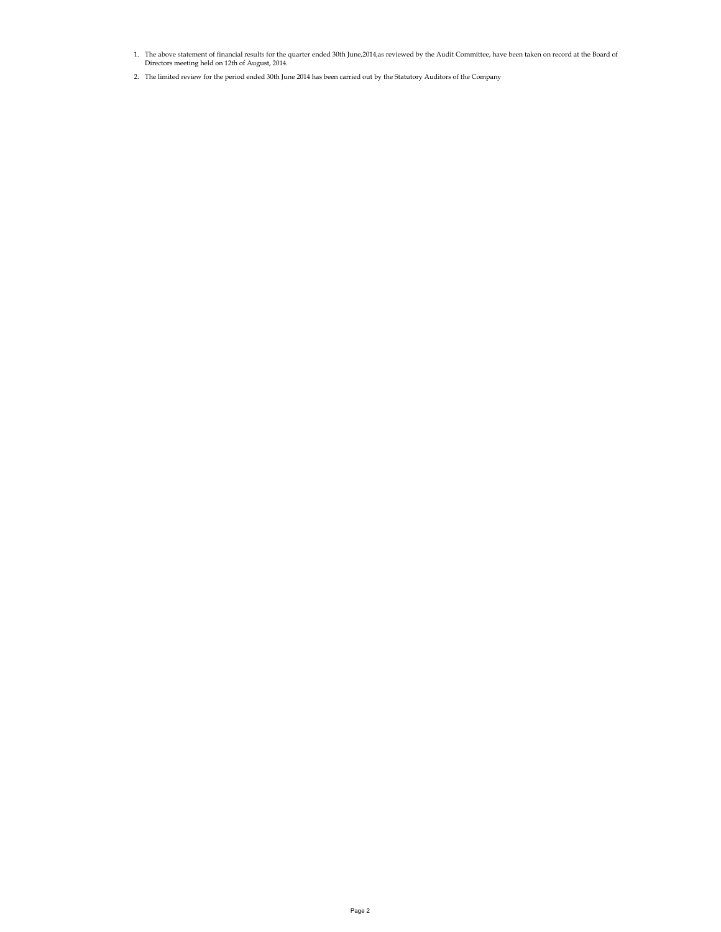- 1. The above statement of financial results for the quarter ended 30th June,2014,as reviewed by the Audit Committee, have been taken on record at the Board of Directors meeting held on 12th of August, 2014.
- 2. The limited review for the period ended 30th June 2014 has been carried out by the Statutory Auditors of the Company